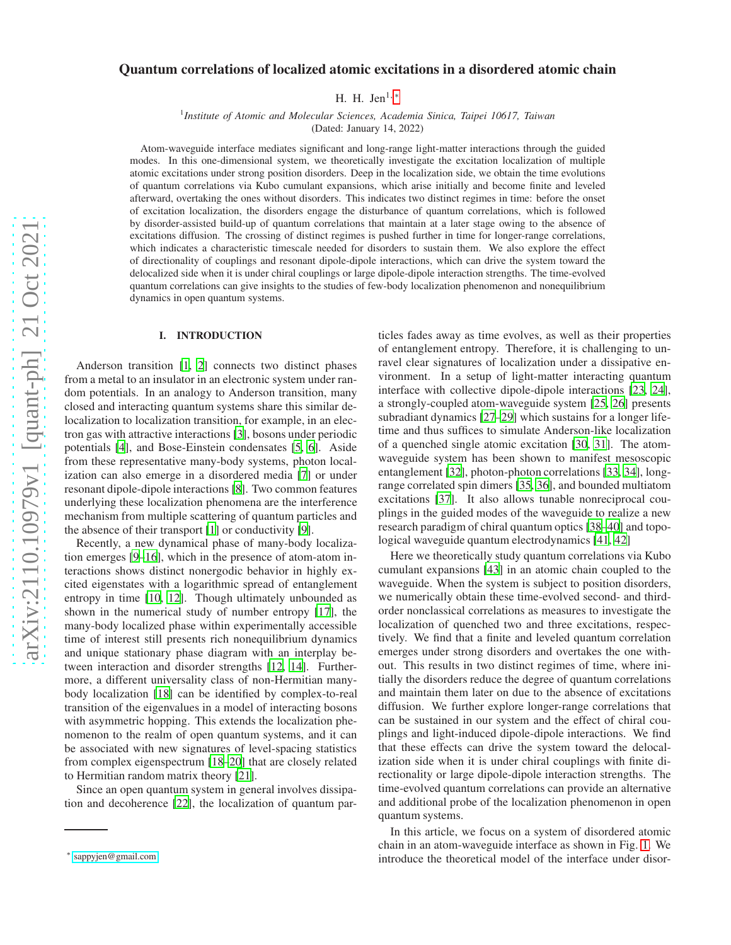# arXiv:2110.10979v1 [quant-ph] 21 Oct 2021 [arXiv:2110.10979v1 \[quant-ph\] 21 Oct 2021](http://arxiv.org/abs/2110.10979v1)

# Quantum correlations of localized atomic excitations in a disordered atomic chain

H. H. Jen $^{1,*}$ 

1 *Institute of Atomic and Molecular Sciences, Academia Sinica, Taipei 10617, Taiwan* (Dated: January 14, 2022)

Atom-waveguide interface mediates significant and long-range light-matter interactions through the guided modes. In this one-dimensional system, we theoretically investigate the excitation localization of multiple atomic excitations under strong position disorders. Deep in the localization side, we obtain the time evolutions of quantum correlations via Kubo cumulant expansions, which arise initially and become finite and leveled afterward, overtaking the ones without disorders. This indicates two distinct regimes in time: before the onset of excitation localization, the disorders engage the disturbance of quantum correlations, which is followed by disorder-assisted build-up of quantum correlations that maintain at a later stage owing to the absence of excitations diffusion. The crossing of distinct regimes is pushed further in time for longer-range correlations, which indicates a characteristic timescale needed for disorders to sustain them. We also explore the effect of directionality of couplings and resonant dipole-dipole interactions, which can drive the system toward the delocalized side when it is under chiral couplings or large dipole-dipole interaction strengths. The time-evolved quantum correlations can give insights to the studies of few-body localization phenomenon and nonequilibrium dynamics in open quantum systems.

## I. INTRODUCTION

Anderson transition [\[1,](#page-5-0) [2\]](#page-5-1) connects two distinct phases from a metal to an insulator in an electronic system under random potentials. In an analogy to Anderson transition, many closed and interacting quantum systems share this similar delocalization to localization transition, for example, in an electron gas with attractive interactions [\[3\]](#page-5-2), bosons under periodic potentials [\[4\]](#page-5-3), and Bose-Einstein condensates [\[5](#page-5-4), [6](#page-5-5)]. Aside from these representative many-body systems, photon localization can also emerge in a disordered media [\[7](#page-5-6)] or under resonant dipole-dipole interactions [\[8](#page-5-7)]. Two common features underlying these localization phenomena are the interference mechanism from multiple scattering of quantum particles and the absence of their transport [\[1](#page-5-0)] or conductivity [\[9\]](#page-5-8).

Recently, a new dynamical phase of many-body localization emerges [\[9](#page-5-8)[–16\]](#page-5-9), which in the presence of atom-atom interactions shows distinct nonergodic behavior in highly excited eigenstates with a logarithmic spread of entanglement entropy in time [\[10,](#page-5-10) [12\]](#page-5-11). Though ultimately unbounded as shown in the numerical study of number entropy [\[17\]](#page-5-12), the many-body localized phase within experimentally accessible time of interest still presents rich nonequilibrium dynamics and unique stationary phase diagram with an interplay between interaction and disorder strengths [\[12,](#page-5-11) [14](#page-5-13)]. Furthermore, a different universality class of non-Hermitian manybody localization [\[18\]](#page-5-14) can be identified by complex-to-real transition of the eigenvalues in a model of interacting bosons with asymmetric hopping. This extends the localization phenomenon to the realm of open quantum systems, and it can be associated with new signatures of level-spacing statistics from complex eigenspectrum [\[18](#page-5-14)[–20](#page-5-15)] that are closely related to Hermitian random matrix theory [\[21\]](#page-5-16).

Since an open quantum system in general involves dissipation and decoherence [\[22\]](#page-5-17), the localization of quantum particles fades away as time evolves, as well as their properties of entanglement entropy. Therefore, it is challenging to unravel clear signatures of localization under a dissipative environment. In a setup of light-matter interacting quantum interface with collective dipole-dipole interactions [\[23,](#page-5-18) [24](#page-5-19)], a strongly-coupled atom-waveguide system [\[25,](#page-5-20) [26](#page-5-21)] presents subradiant dynamics [\[27](#page-5-22)[–29\]](#page-5-23) which sustains for a longer lifetime and thus suffices to simulate Anderson-like localization of a quenched single atomic excitation [\[30](#page-5-24), [31](#page-5-25)]. The atomwaveguide system has been shown to manifest mesoscopic entanglement [\[32\]](#page-5-26), photon-photon correlations [\[33](#page-5-27), [34\]](#page-5-28), longrange correlated spin dimers [\[35](#page-5-29), [36\]](#page-5-30), and bounded multiatom excitations [\[37\]](#page-5-31). It also allows tunable nonreciprocal couplings in the guided modes of the waveguide to realize a new research paradigm of chiral quantum optics [\[38](#page-5-32)[–40](#page-5-33)] and topological waveguide quantum electrodynamics [\[41](#page-5-34), [42](#page-5-35)]

Here we theoretically study quantum correlations via Kubo cumulant expansions [\[43](#page-5-36)] in an atomic chain coupled to the waveguide. When the system is subject to position disorders, we numerically obtain these time-evolved second- and thirdorder nonclassical correlations as measures to investigate the localization of quenched two and three excitations, respectively. We find that a finite and leveled quantum correlation emerges under strong disorders and overtakes the one without. This results in two distinct regimes of time, where initially the disorders reduce the degree of quantum correlations and maintain them later on due to the absence of excitations diffusion. We further explore longer-range correlations that can be sustained in our system and the effect of chiral couplings and light-induced dipole-dipole interactions. We find that these effects can drive the system toward the delocalization side when it is under chiral couplings with finite directionality or large dipole-dipole interaction strengths. The time-evolved quantum correlations can provide an alternative and additional probe of the localization phenomenon in open quantum systems.

In this article, we focus on a system of disordered atomic chain in an atom-waveguide interface as shown in Fig. [1.](#page-1-0) We introduce the theoretical model of the interface under disor-

<span id="page-0-0"></span><sup>∗</sup> [sappyjen@gmail.com](mailto:sappyjen@gmail.com)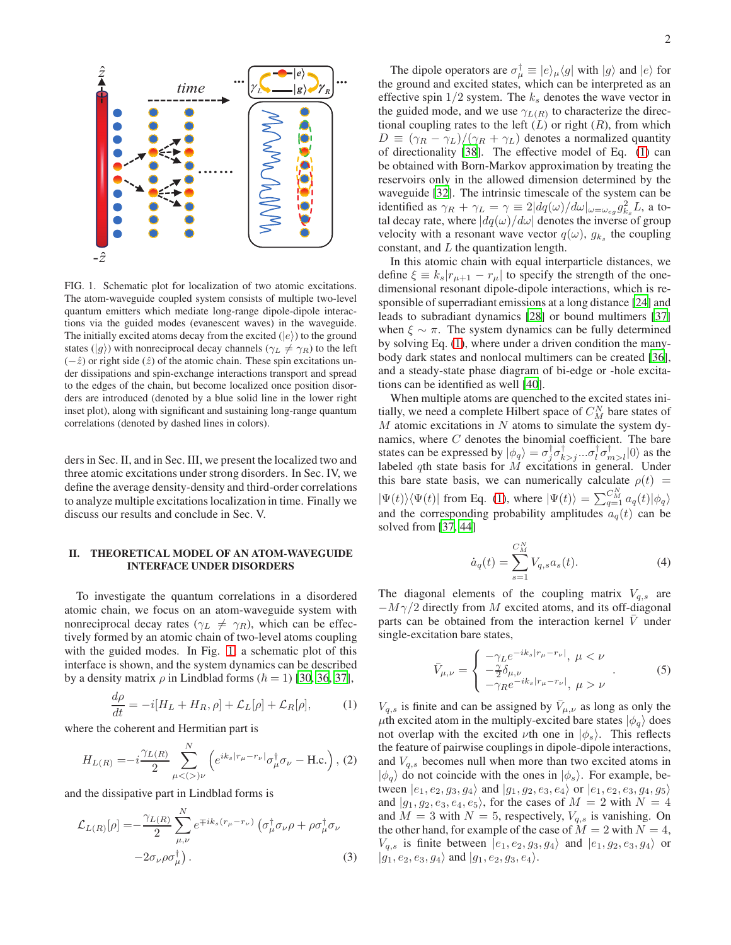

<span id="page-1-0"></span>FIG. 1. Schematic plot for localization of two atomic excitations. The atom-waveguide coupled system consists of multiple two-level quantum emitters which mediate long-range dipole-dipole interactions via the guided modes (evanescent waves) in the waveguide. The initially excited atoms decay from the excited  $(|e\rangle)$  to the ground states ( $|g\rangle$ ) with nonreciprocal decay channels ( $\gamma_L \neq \gamma_R$ ) to the left  $(-\hat{z})$  or right side  $(\hat{z})$  of the atomic chain. These spin excitations under dissipations and spin-exchange interactions transport and spread to the edges of the chain, but become localized once position disorders are introduced (denoted by a blue solid line in the lower right inset plot), along with significant and sustaining long-range quantum correlations (denoted by dashed lines in colors).

ders in Sec. II, and in Sec. III, we present the localized two and three atomic excitations under strong disorders. In Sec. IV, we define the average density-density and third-order correlations to analyze multiple excitations localization in time. Finally we discuss our results and conclude in Sec. V.

### II. THEORETICAL MODEL OF AN ATOM-WAVEGUIDE INTERFACE UNDER DISORDERS

To investigate the quantum correlations in a disordered atomic chain, we focus on an atom-waveguide system with nonreciprocal decay rates ( $\gamma_L \neq \gamma_R$ ), which can be effectively formed by an atomic chain of two-level atoms coupling with the guided modes. In Fig. [1,](#page-1-0) a schematic plot of this interface is shown, and the system dynamics can be described by a density matrix  $\rho$  in Lindblad forms ( $\hbar = 1$ ) [\[30,](#page-5-24) [36,](#page-5-30) [37\]](#page-5-31),

<span id="page-1-1"></span>
$$
\frac{d\rho}{dt} = -i[H_L + H_R, \rho] + \mathcal{L}_L[\rho] + \mathcal{L}_R[\rho],\tag{1}
$$

where the coherent and Hermitian part is

$$
H_{L(R)} = -i\frac{\gamma_{L(R)}}{2} \sum_{\mu <(>)\nu}^{N} \left( e^{ik_s|r_{\mu} - r_{\nu}|} \sigma_{\mu}^{\dagger} \sigma_{\nu} - \text{H.c.} \right), (2)
$$

and the dissipative part in Lindblad forms is

$$
\mathcal{L}_{L(R)}[\rho] = -\frac{\gamma_{L(R)}}{2} \sum_{\mu,\nu}^{N} e^{\mp ik_s(r_{\mu} - r_{\nu})} \left( \sigma_{\mu}^{\dagger} \sigma_{\nu} \rho + \rho \sigma_{\mu}^{\dagger} \sigma_{\nu} \right) -2\sigma_{\nu} \rho \sigma_{\mu}^{\dagger}.
$$
\n(3)

The dipole operators are  $\sigma_{\mu}^{\dagger} \equiv |e\rangle_{\mu} \langle g|$  with  $|g\rangle$  and  $|e\rangle$  for the ground and excited states, which can be interpreted as an effective spin  $1/2$  system. The  $k<sub>s</sub>$  denotes the wave vector in the guided mode, and we use  $\gamma_{L(R)}$  to characterize the directional coupling rates to the left  $(L)$  or right  $(R)$ , from which  $D \equiv (\gamma_R - \gamma_L)/(\gamma_R + \gamma_L)$  denotes a normalized quantity of directionality [\[38\]](#page-5-32). The effective model of Eq. [\(1\)](#page-1-1) can be obtained with Born-Markov approximation by treating the reservoirs only in the allowed dimension determined by the waveguide [\[32\]](#page-5-26). The intrinsic timescale of the system can be identified as  $\gamma_R + \gamma_L = \gamma \equiv 2|dq(\omega)/d\omega|_{\omega=\omega_{eg}} g_{k_s}^2 L$ , a total decay rate, where  $|dq(\omega)/d\omega|$  denotes the inverse of group velocity with a resonant wave vector  $q(\omega)$ ,  $g_{k_s}$  the coupling constant, and L the quantization length.

In this atomic chain with equal interparticle distances, we define  $\xi \equiv k_s |r_{\mu+1} - r_{\mu}|$  to specify the strength of the onedimensional resonant dipole-dipole interactions, which is responsible of superradiant emissions at a long distance [\[24\]](#page-5-19) and leads to subradiant dynamics [\[28\]](#page-5-37) or bound multimers [\[37\]](#page-5-31) when  $\xi \sim \pi$ . The system dynamics can be fully determined by solving Eq. [\(1\)](#page-1-1), where under a driven condition the manybody dark states and nonlocal multimers can be created [\[36](#page-5-30)], and a steady-state phase diagram of bi-edge or -hole excitations can be identified as well [\[40\]](#page-5-33).

When multiple atoms are quenched to the excited states initially, we need a complete Hilbert space of  $C_M^N$  bare states of  $M$  atomic excitations in  $N$  atoms to simulate the system dynamics, where C denotes the binomial coefficient. The bare states can be expressed by  $|\phi_q\rangle = \sigma_j^{\dagger} \sigma_{k>j}^{\dagger} ... \sigma_l^{\dagger} \sigma_{m>l}^{\dagger}|0\rangle$  as the labeled  $q$ th state basis for  $M$  excitations in general. Under this bare state basis, we can numerically calculate  $\rho(t)$  =  $|\Psi(t)\rangle\langle\Psi(t)|$  from Eq. [\(1\)](#page-1-1), where  $|\Psi(t)\rangle = \sum_{q=1}^{C_M^M} a_q(t)|\phi_q\rangle$ and the corresponding probability amplitudes  $a_q(t)$  can be solved from [\[37,](#page-5-31) [44\]](#page-6-0)

<span id="page-1-2"></span>
$$
\dot{a}_q(t) = \sum_{s=1}^{C_M^N} V_{q,s} a_s(t).
$$
 (4)

The diagonal elements of the coupling matrix  $V_{q,s}$  are  $-M\gamma/2$  directly from M excited atoms, and its off-diagonal parts can be obtained from the interaction kernel  $\overline{V}$  under single-excitation bare states,

$$
\bar{V}_{\mu,\nu} = \begin{cases}\n-\gamma_L e^{-ik_s|r_\mu - r_\nu|}, \ \mu < \nu \\
-\frac{\gamma}{2} \delta_{\mu,\nu} \\
-\gamma_R e^{-ik_s|r_\mu - r_\nu|}, \ \mu > \nu\n\end{cases} \tag{5}
$$

 $V_{q,s}$  is finite and can be assigned by  $\bar{V}_{\mu,\nu}$  as long as only the  $\mu$ th excited atom in the multiply-excited bare states  $|\phi_a\rangle$  does not overlap with the excited  $\nu$ th one in  $|\phi_s\rangle$ . This reflects the feature of pairwise couplings in dipole-dipole interactions, and  $V_{q,s}$  becomes null when more than two excited atoms in  $|\phi_q\rangle$  do not coincide with the ones in  $|\phi_s\rangle$ . For example, between  $|e_1, e_2, g_3, g_4\rangle$  and  $|g_1, g_2, e_3, e_4\rangle$  or  $|e_1, e_2, e_3, g_4, g_5\rangle$ and  $|g_1, g_2, e_3, e_4, e_5\rangle$ , for the cases of  $M = 2$  with  $N = 4$ and  $M = 3$  with  $N = 5$ , respectively,  $V_{q,s}$  is vanishing. On the other hand, for example of the case of  $M = 2$  with  $N = 4$ ,  $V_{q,s}$  is finite between  $|e_1, e_2, g_3, g_4\rangle$  and  $|e_1, g_2, e_3, g_4\rangle$  or  $|g_1, e_2, e_3, g_4\rangle$  and  $|g_1, e_2, g_3, e_4\rangle$ .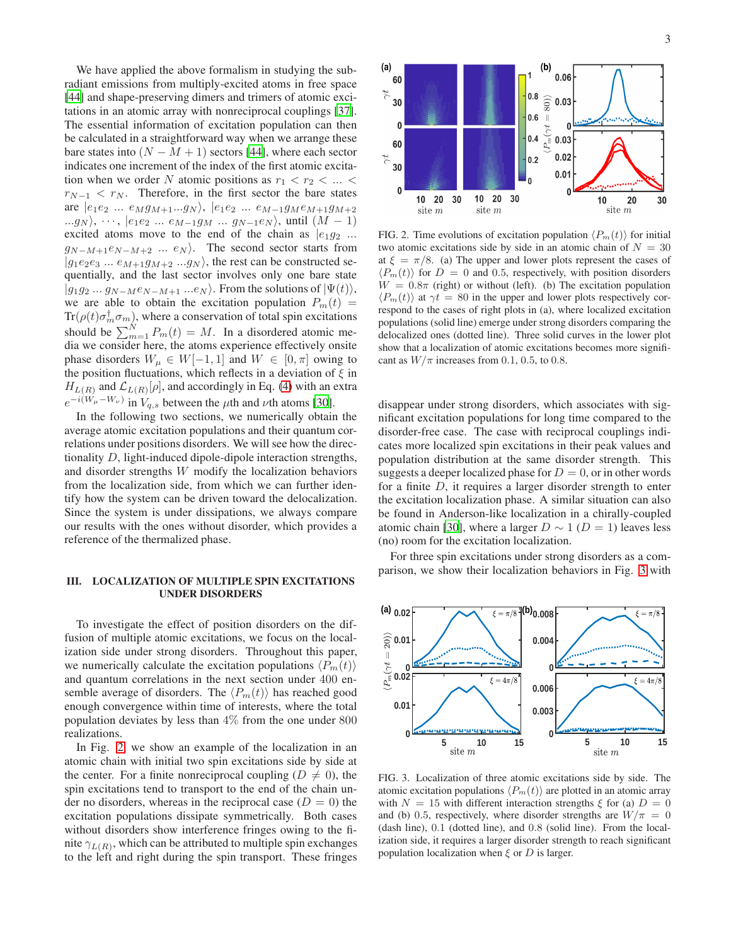We have applied the above formalism in studying the subradiant emissions from multiply-excited atoms in free space [\[44](#page-6-0)] and shape-preserving dimers and trimers of atomic exci-tations in an atomic array with nonreciprocal couplings [\[37](#page-5-31)]. The essential information of excitation population can then be calculated in a straightforward way when we arrange these bare states into  $(N - M + 1)$  sectors [\[44](#page-6-0)], where each sector indicates one increment of the index of the first atomic excitation when we order N atomic positions as  $r_1 < r_2 < ... <$  $r_{N-1} < r_N$ . Therefore, in the first sector the bare states are  $|e_1e_2 ... e_Mg_{M+1}...g_N\rangle$ ,  $|e_1e_2 ... e_{M-1}g_M e_{M+1}g_{M+2}\rangle$ ... $g_N$ ,  $\cdots$ ,  $|e_1e_2 \dots e_{M-1}g_M \dots g_{N-1}e_N\rangle$ , until  $(M-1)$ excited atoms move to the end of the chain as  $|e_1g_2|...$  $g_{N-M+1}e_{N-M+2}$  ...  $e_N$ ). The second sector starts from  $|g_1e_2e_3 ... e_{M+1}g_{M+2} ... g_N\rangle$ , the rest can be constructed sequentially, and the last sector involves only one bare state  $|g_1g_2...g_{N-M}e_{N-M+1}...e_N\rangle$ . From the solutions of  $|\Psi(t)\rangle$ , we are able to obtain the excitation population  $P_m(t)$  =  $\text{Tr}(\rho(t)\sigma_m^{\dagger}\sigma_m)$ , where a conservation of total spin excitations should be  $\sum_{m=1}^{N} P_m(t) = M$ . In a disordered atomic media we consider here, the atoms experience effectively onsite phase disorders  $W_{\mu} \in W[-1,1]$  and  $W \in [0,\pi]$  owing to the position fluctuations, which reflects in a deviation of  $\xi$  in  $H_{L(R)}$  and  $\mathcal{L}_{L(R)}[\rho]$ , and accordingly in Eq. [\(4\)](#page-1-2) with an extra  $e^{-i(W_\mu-W_\nu)}$  in  $V_{q,s}$  between the  $\mu$ th and  $\nu$ th atoms [\[30](#page-5-24)].

In the following two sections, we numerically obtain the average atomic excitation populations and their quantum correlations under positions disorders. We will see how the directionality D, light-induced dipole-dipole interaction strengths, and disorder strengths W modify the localization behaviors from the localization side, from which we can further identify how the system can be driven toward the delocalization. Since the system is under dissipations, we always compare our results with the ones without disorder, which provides a reference of the thermalized phase.

### III. LOCALIZATION OF MULTIPLE SPIN EXCITATIONS UNDER DISORDERS

To investigate the effect of position disorders on the diffusion of multiple atomic excitations, we focus on the localization side under strong disorders. Throughout this paper, we numerically calculate the excitation populations  $\langle P_m(t) \rangle$ and quantum correlations in the next section under 400 ensemble average of disorders. The  $\langle P_m(t)\rangle$  has reached good enough convergence within time of interests, where the total population deviates by less than 4% from the one under 800 realizations.

In Fig. [2,](#page-2-0) we show an example of the localization in an atomic chain with initial two spin excitations side by side at the center. For a finite nonreciprocal coupling ( $D \neq 0$ ), the spin excitations tend to transport to the end of the chain under no disorders, whereas in the reciprocal case  $(D = 0)$  the excitation populations dissipate symmetrically. Both cases without disorders show interference fringes owing to the finite  $\gamma_{L(R)}$ , which can be attributed to multiple spin exchanges to the left and right during the spin transport. These fringes



<span id="page-2-0"></span>FIG. 2. Time evolutions of excitation population  $\langle P_m(t) \rangle$  for initial two atomic excitations side by side in an atomic chain of  $N = 30$ at  $\xi = \pi/8$ . (a) The upper and lower plots represent the cases of  $\langle P_m(t) \rangle$  for  $D = 0$  and 0.5, respectively, with position disorders  $W = 0.8\pi$  (right) or without (left). (b) The excitation population  $\langle P_m(t) \rangle$  at  $\gamma t = 80$  in the upper and lower plots respectively correspond to the cases of right plots in (a), where localized excitation populations (solid line) emerge under strong disorders comparing the delocalized ones (dotted line). Three solid curves in the lower plot show that a localization of atomic excitations becomes more significant as  $W/\pi$  increases from 0.1, 0.5, to 0.8.

disappear under strong disorders, which associates with significant excitation populations for long time compared to the disorder-free case. The case with reciprocal couplings indicates more localized spin excitations in their peak values and population distribution at the same disorder strength. This suggests a deeper localized phase for  $D = 0$ , or in other words for a finite D, it requires a larger disorder strength to enter the excitation localization phase. A similar situation can also be found in Anderson-like localization in a chirally-coupled atomic chain [\[30](#page-5-24)], where a larger  $D \sim 1$  ( $D = 1$ ) leaves less (no) room for the excitation localization.

For three spin excitations under strong disorders as a comparison, we show their localization behaviors in Fig. [3](#page-2-1) with



<span id="page-2-1"></span>FIG. 3. Localization of three atomic excitations side by side. The atomic excitation populations  $\langle P_m(t)\rangle$  are plotted in an atomic array with  $N = 15$  with different interaction strengths  $\xi$  for (a)  $D = 0$ and (b) 0.5, respectively, where disorder strengths are  $W/\pi = 0$ (dash line), 0.1 (dotted line), and 0.8 (solid line). From the localization side, it requires a larger disorder strength to reach significant population localization when  $\xi$  or  $D$  is larger.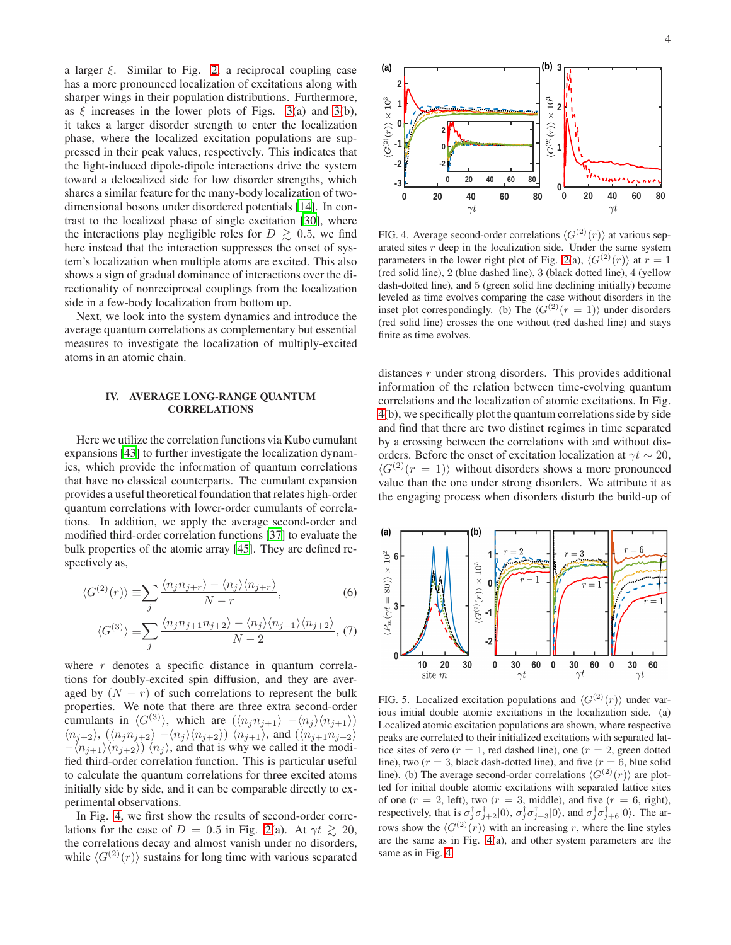a larger  $\xi$ . Similar to Fig. [2,](#page-2-0) a reciprocal coupling case has a more pronounced localization of excitations along with sharper wings in their population distributions. Furthermore, as  $\xi$  increases in the lower plots of Figs. [3\(](#page-2-1)a) and 3(b), it takes a larger disorder strength to enter the localization phase, where the localized excitation populations are suppressed in their peak values, respectively. This indicates that the light-induced dipole-dipole interactions drive the system toward a delocalized side for low disorder strengths, which shares a similar feature for the many-body localization of twodimensional bosons under disordered potentials [\[14\]](#page-5-13). In contrast to the localized phase of single excitation [\[30\]](#page-5-24), where the interactions play negligible roles for  $D \geq 0.5$ , we find here instead that the interaction suppresses the onset of system's localization when multiple atoms are excited. This also shows a sign of gradual dominance of interactions over the directionality of nonreciprocal couplings from the localization side in a few-body localization from bottom up.

Next, we look into the system dynamics and introduce the average quantum correlations as complementary but essential measures to investigate the localization of multiply-excited atoms in an atomic chain.

### IV. AVERAGE LONG-RANGE QUANTUM **CORRELATIONS**

Here we utilize the correlation functions via Kubo cumulant expansions [\[43](#page-5-36)] to further investigate the localization dynamics, which provide the information of quantum correlations that have no classical counterparts. The cumulant expansion provides a useful theoretical foundation that relates high-order quantum correlations with lower-order cumulants of correlations. In addition, we apply the average second-order and modified third-order correlation functions [\[37\]](#page-5-31) to evaluate the bulk properties of the atomic array [\[45\]](#page-6-1). They are defined respectively as,

$$
\langle G^{(2)}(r) \rangle \equiv \sum_{j} \frac{\langle n_j n_{j+r} \rangle - \langle n_j \rangle \langle n_{j+r} \rangle}{N - r},\tag{6}
$$

$$
\langle G^{(3)} \rangle \equiv \sum_{j} \frac{\langle n_j n_{j+1} n_{j+2} \rangle - \langle n_j \rangle \langle n_{j+1} \rangle \langle n_{j+2} \rangle}{N-2}, (7)
$$

where  $r$  denotes a specific distance in quantum correlations for doubly-excited spin diffusion, and they are averaged by  $(N - r)$  of such correlations to represent the bulk properties. We note that there are three extra second-order cumulants in  $\langle G^{(3)} \rangle$ , which are  $(\langle n_j n_{j+1} \rangle -\langle n_j \rangle \langle n_{j+1} \rangle)$  $\langle n_{j+2} \rangle$ ,  $(\langle n_j n_{j+2} \rangle - \langle n_j \rangle \langle n_{j+2} \rangle) \langle n_{j+1} \rangle$ , and  $(\langle n_{j+1} n_{j+2} \rangle)$  $-\langle n_{j+1} \rangle \langle n_{j+2} \rangle \rangle \langle n_j \rangle$ , and that is why we called it the modified third-order correlation function. This is particular useful to calculate the quantum correlations for three excited atoms initially side by side, and it can be comparable directly to experimental observations.

In Fig. [4,](#page-3-0) we first show the results of second-order correlations for the case of  $D = 0.5$  in Fig. [2\(](#page-2-0)a). At  $\gamma t \gtrsim 20$ , the correlations decay and almost vanish under no disorders, while  $\langle G^{(2)}(r)\rangle$  sustains for long time with various separated



<span id="page-3-0"></span>FIG. 4. Average second-order correlations  $\langle G^{(2)}(r) \rangle$  at various separated sites  $r$  deep in the localization side. Under the same system parameters in the lower right plot of Fig. [2\(](#page-2-0)a),  $\langle G^{(2)}(r) \rangle$  at  $r = 1$ (red solid line), 2 (blue dashed line), 3 (black dotted line), 4 (yellow dash-dotted line), and 5 (green solid line declining initially) become leveled as time evolves comparing the case without disorders in the inset plot correspondingly. (b) The  $\langle G^{(2)}(r = 1) \rangle$  under disorders (red solid line) crosses the one without (red dashed line) and stays finite as time evolves.

distances  $r$  under strong disorders. This provides additional information of the relation between time-evolving quantum correlations and the localization of atomic excitations. In Fig. [4\(](#page-3-0)b), we specifically plot the quantum correlations side by side and find that there are two distinct regimes in time separated by a crossing between the correlations with and without disorders. Before the onset of excitation localization at  $\gamma t \sim 20$ ,  $\langle G^{(2)}(r = 1) \rangle$  without disorders shows a more pronounced value than the one under strong disorders. We attribute it as the engaging process when disorders disturb the build-up of



<span id="page-3-1"></span>FIG. 5. Localized excitation populations and  $\langle G^{(2)}(r) \rangle$  under various initial double atomic excitations in the localization side. (a) Localized atomic excitation populations are shown, where respective peaks are correlated to their initialized excitations with separated lattice sites of zero ( $r = 1$ , red dashed line), one ( $r = 2$ , green dotted line), two ( $r = 3$ , black dash-dotted line), and five ( $r = 6$ , blue solid line). (b) The average second-order correlations  $\langle G^{(2)}(r) \rangle$  are plotted for initial double atomic excitations with separated lattice sites of one  $(r = 2, \text{ left})$ , two  $(r = 3, \text{ middle})$ , and five  $(r = 6, \text{ right})$ , respectively, that is  $\sigma_j^{\dagger} \sigma_{j+2}^{\dagger} |0\rangle$ ,  $\sigma_j^{\dagger} \sigma_{j+3}^{\dagger} |0\rangle$ , and  $\sigma_j^{\dagger} \sigma_{j+6}^{\dagger} |0\rangle$ . The arrows show the  $\langle G^{(2)}(r) \rangle$  with an increasing r, where the line styles are the same as in Fig. [4\(](#page-3-0)a), and other system parameters are the same as in Fig. [4.](#page-3-0)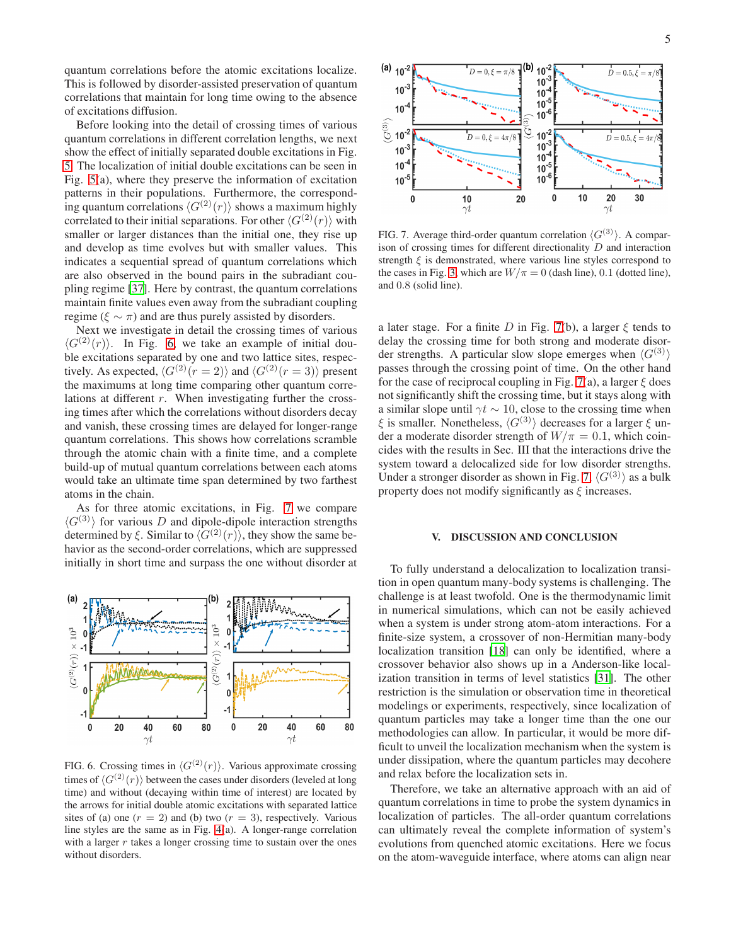quantum correlations before the atomic excitations localize. This is followed by disorder-assisted preservation of quantum correlations that maintain for long time owing to the absence of excitations diffusion.

Before looking into the detail of crossing times of various quantum correlations in different correlation lengths, we next show the effect of initially separated double excitations in Fig. [5.](#page-3-1) The localization of initial double excitations can be seen in Fig. [5\(](#page-3-1)a), where they preserve the information of excitation patterns in their populations. Furthermore, the corresponding quantum correlations  $\langle G^{(2)}(r) \rangle$  shows a maximum highly correlated to their initial separations. For other  $\langle G^{(2)}(r) \rangle$  with smaller or larger distances than the initial one, they rise up and develop as time evolves but with smaller values. This indicates a sequential spread of quantum correlations which are also observed in the bound pairs in the subradiant coupling regime [\[37](#page-5-31)]. Here by contrast, the quantum correlations maintain finite values even away from the subradiant coupling regime ( $\xi \sim \pi$ ) and are thus purely assisted by disorders.

Next we investigate in detail the crossing times of various  $\langle G^{(2)}(r)\rangle$ . In Fig. [6,](#page-4-0) we take an example of initial double excitations separated by one and two lattice sites, respectively. As expected,  $\langle G^{(2)}(r = 2) \rangle$  and  $\langle G^{(2)}(r = 3) \rangle$  present the maximums at long time comparing other quantum correlations at different r. When investigating further the crossing times after which the correlations without disorders decay and vanish, these crossing times are delayed for longer-range quantum correlations. This shows how correlations scramble through the atomic chain with a finite time, and a complete build-up of mutual quantum correlations between each atoms would take an ultimate time span determined by two farthest atoms in the chain.

As for three atomic excitations, in Fig. [7](#page-4-1) we compare  $\langle G^{(3)} \rangle$  for various D and dipole-dipole interaction strengths determined by  $\xi$ . Similar to  $\langle G^{(2)}(r) \rangle$ , they show the same behavior as the second-order correlations, which are suppressed initially in short time and surpass the one without disorder at



<span id="page-4-0"></span>FIG. 6. Crossing times in  $\langle G^{(2)}(r) \rangle$ . Various approximate crossing times of  $\langle G^{(2)}(r) \rangle$  between the cases under disorders (leveled at long time) and without (decaying within time of interest) are located by the arrows for initial double atomic excitations with separated lattice sites of (a) one  $(r = 2)$  and (b) two  $(r = 3)$ , respectively. Various line styles are the same as in Fig. [4\(](#page-3-0)a). A longer-range correlation with a larger  $r$  takes a longer crossing time to sustain over the ones without disorders.



<span id="page-4-1"></span>FIG. 7. Average third-order quantum correlation  $\langle G^{(3)} \rangle$ . A comparison of crossing times for different directionality D and interaction strength  $\xi$  is demonstrated, where various line styles correspond to the cases in Fig. [3,](#page-2-1) which are  $W/\pi = 0$  (dash line), 0.1 (dotted line), and 0.8 (solid line).

a later stage. For a finite D in Fig. [7\(](#page-4-1)b), a larger  $\xi$  tends to delay the crossing time for both strong and moderate disorder strengths. A particular slow slope emerges when  $\langle G^{(3)} \rangle$ passes through the crossing point of time. On the other hand for the case of reciprocal coupling in Fig. [7\(](#page-4-1)a), a larger  $\xi$  does not significantly shift the crossing time, but it stays along with a similar slope until  $γt \sim 10$ , close to the crossing time when  $\xi$  is smaller. Nonetheless,  $\langle G^{(3)} \rangle$  decreases for a larger  $\xi$  under a moderate disorder strength of  $W/\pi = 0.1$ , which coincides with the results in Sec. III that the interactions drive the system toward a delocalized side for low disorder strengths. Under a stronger disorder as shown in Fig. [7,](#page-4-1)  $\langle G^{(3)} \rangle$  as a bulk property does not modify significantly as  $\xi$  increases.

### V. DISCUSSION AND CONCLUSION

To fully understand a delocalization to localization transition in open quantum many-body systems is challenging. The challenge is at least twofold. One is the thermodynamic limit in numerical simulations, which can not be easily achieved when a system is under strong atom-atom interactions. For a finite-size system, a crossover of non-Hermitian many-body localization transition [\[18\]](#page-5-14) can only be identified, where a crossover behavior also shows up in a Anderson-like localization transition in terms of level statistics [\[31\]](#page-5-25). The other restriction is the simulation or observation time in theoretical modelings or experiments, respectively, since localization of quantum particles may take a longer time than the one our methodologies can allow. In particular, it would be more difficult to unveil the localization mechanism when the system is under dissipation, where the quantum particles may decohere and relax before the localization sets in.

Therefore, we take an alternative approach with an aid of quantum correlations in time to probe the system dynamics in localization of particles. The all-order quantum correlations can ultimately reveal the complete information of system's evolutions from quenched atomic excitations. Here we focus on the atom-waveguide interface, where atoms can align near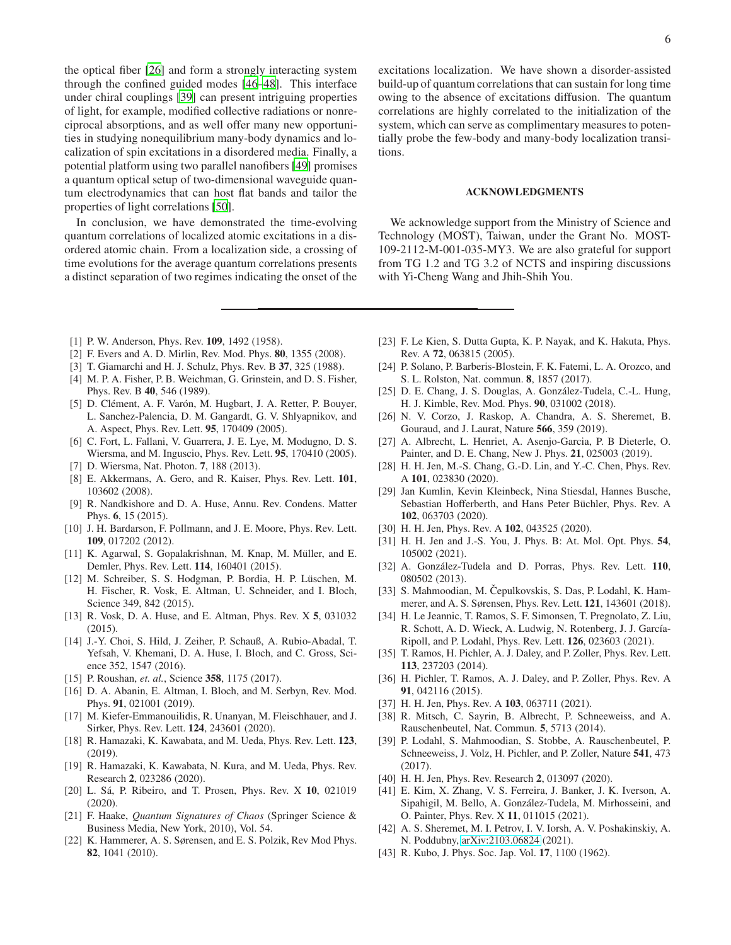the optical fiber [\[26\]](#page-5-21) and form a strongly interacting system through the confined guided modes [\[46](#page-6-2)[–48\]](#page-6-3). This interface under chiral couplings [\[39](#page-5-38)] can present intriguing properties of light, for example, modified collective radiations or nonreciprocal absorptions, and as well offer many new opportunities in studying nonequilibrium many-body dynamics and localization of spin excitations in a disordered media. Finally, a potential platform using two parallel nanofibers [\[49\]](#page-6-4) promises a quantum optical setup of two-dimensional waveguide quantum electrodynamics that can host flat bands and tailor the properties of light correlations [\[50\]](#page-6-5).

In conclusion, we have demonstrated the time-evolving quantum correlations of localized atomic excitations in a disordered atomic chain. From a localization side, a crossing of time evolutions for the average quantum correlations presents a distinct separation of two regimes indicating the onset of the excitations localization. We have shown a disorder-assisted build-up of quantum correlations that can sustain for long time owing to the absence of excitations diffusion. The quantum correlations are highly correlated to the initialization of the system, which can serve as complimentary measures to potentially probe the few-body and many-body localization transitions.

### ACKNOWLEDGMENTS

We acknowledge support from the Ministry of Science and Technology (MOST), Taiwan, under the Grant No. MOST-109-2112-M-001-035-MY3. We are also grateful for support from TG 1.2 and TG 3.2 of NCTS and inspiring discussions with Yi-Cheng Wang and Jhih-Shih You.

- <span id="page-5-0"></span>[1] P. W. Anderson, Phys. Rev. 109, 1492 (1958).
- <span id="page-5-1"></span>[2] F. Evers and A. D. Mirlin, Rev. Mod. Phys. 80, 1355 (2008).
- <span id="page-5-2"></span>[3] T. Giamarchi and H. J. Schulz, Phys. Rev. B 37, 325 (1988).
- <span id="page-5-3"></span>[4] M. P. A. Fisher, P. B. Weichman, G. Grinstein, and D. S. Fisher, Phys. Rev. B 40, 546 (1989).
- <span id="page-5-4"></span>[5] D. Clément, A. F. Varón, M. Hugbart, J. A. Retter, P. Bouyer, L. Sanchez-Palencia, D. M. Gangardt, G. V. Shlyapnikov, and A. Aspect, Phys. Rev. Lett. 95, 170409 (2005).
- <span id="page-5-5"></span>[6] C. Fort, L. Fallani, V. Guarrera, J. E. Lye, M. Modugno, D. S. Wiersma, and M. Inguscio, Phys. Rev. Lett. 95, 170410 (2005).
- <span id="page-5-6"></span>[7] D. Wiersma, Nat. Photon. 7, 188 (2013).
- <span id="page-5-7"></span>[8] E. Akkermans, A. Gero, and R. Kaiser, Phys. Rev. Lett. 101, 103602 (2008).
- <span id="page-5-8"></span>[9] R. Nandkishore and D. A. Huse, Annu. Rev. Condens. Matter Phys. 6, 15 (2015).
- <span id="page-5-10"></span>[10] J. H. Bardarson, F. Pollmann, and J. E. Moore, Phys. Rev. Lett. 109, 017202 (2012).
- [11] K. Agarwal, S. Gopalakrishnan, M. Knap, M. Müller, and E. Demler, Phys. Rev. Lett. 114, 160401 (2015).
- <span id="page-5-11"></span>[12] M. Schreiber, S. S. Hodgman, P. Bordia, H. P. Lüschen, M. H. Fischer, R. Vosk, E. Altman, U. Schneider, and I. Bloch, Science 349, 842 (2015).
- [13] R. Vosk, D. A. Huse, and E. Altman, Phys. Rev. X 5, 031032 (2015).
- <span id="page-5-13"></span>[14] J.-Y. Choi, S. Hild, J. Zeiher, P. Schauß, A. Rubio-Abadal, T. Yefsah, V. Khemani, D. A. Huse, I. Bloch, and C. Gross, Science 352, 1547 (2016).
- [15] P. Roushan, *et. al.*, Science 358, 1175 (2017).
- <span id="page-5-9"></span>[16] D. A. Abanin, E. Altman, I. Bloch, and M. Serbyn, Rev. Mod. Phys. 91, 021001 (2019).
- <span id="page-5-12"></span>[17] M. Kiefer-Emmanouilidis, R. Unanyan, M. Fleischhauer, and J. Sirker, Phys. Rev. Lett. 124, 243601 (2020).
- <span id="page-5-14"></span>[18] R. Hamazaki, K. Kawabata, and M. Ueda, Phys. Rev. Lett. 123, (2019).
- [19] R. Hamazaki, K. Kawabata, N. Kura, and M. Ueda, Phys. Rev. Research 2, 023286 (2020).
- <span id="page-5-15"></span>[20] L. Sá, P. Ribeiro, and T. Prosen, Phys. Rev. X 10, 021019 (2020).
- <span id="page-5-16"></span>[21] F. Haake, *Quantum Signatures of Chaos* (Springer Science & Business Media, New York, 2010), Vol. 54.
- <span id="page-5-17"></span>[22] K. Hammerer, A. S. Sørensen, and E. S. Polzik, Rev Mod Phys. 82, 1041 (2010).
- <span id="page-5-18"></span>[23] F. Le Kien, S. Dutta Gupta, K. P. Nayak, and K. Hakuta, Phys. Rev. A 72, 063815 (2005).
- <span id="page-5-19"></span>[24] P. Solano, P. Barberis-Blostein, F. K. Fatemi, L. A. Orozco, and S. L. Rolston, Nat. commun. 8, 1857 (2017).
- <span id="page-5-20"></span>[25] D. E. Chang, J. S. Douglas, A. González-Tudela, C.-L. Hung, H. J. Kimble, Rev. Mod. Phys. 90, 031002 (2018).
- <span id="page-5-21"></span>[26] N. V. Corzo, J. Raskop, A. Chandra, A. S. Sheremet, B. Gouraud, and J. Laurat, Nature 566, 359 (2019).
- <span id="page-5-22"></span>[27] A. Albrecht, L. Henriet, A. Asenjo-Garcia, P. B Dieterle, O. Painter, and D. E. Chang, New J. Phys. 21, 025003 (2019).
- <span id="page-5-37"></span>[28] H. H. Jen, M.-S. Chang, G.-D. Lin, and Y.-C. Chen, Phys. Rev. A 101, 023830 (2020).
- <span id="page-5-23"></span>[29] Jan Kumlin, Kevin Kleinbeck, Nina Stiesdal, Hannes Busche, Sebastian Hofferberth, and Hans Peter Büchler, Phys. Rev. A 102, 063703 (2020).
- <span id="page-5-24"></span>[30] H. H. Jen, Phys. Rev. A **102**, 043525 (2020).
- <span id="page-5-25"></span>[31] H. H. Jen and J.-S. You, J. Phys. B: At. Mol. Opt. Phys. 54, 105002 (2021).
- <span id="page-5-26"></span>[32] A. González-Tudela and D. Porras, Phys. Rev. Lett. 110, 080502 (2013).
- <span id="page-5-27"></span>[33] S. Mahmoodian, M. Čepulkovskis, S. Das, P. Lodahl, K. Hammerer, and A. S. Sørensen, Phys. Rev. Lett. 121, 143601 (2018).
- <span id="page-5-28"></span>[34] H. Le Jeannic, T. Ramos, S. F. Simonsen, T. Pregnolato, Z. Liu, R. Schott, A. D. Wieck, A. Ludwig, N. Rotenberg, J. J. García-Ripoll, and P. Lodahl, Phys. Rev. Lett. 126, 023603 (2021).
- <span id="page-5-29"></span>[35] T. Ramos, H. Pichler, A. J. Daley, and P. Zoller, Phys. Rev. Lett. 113, 237203 (2014).
- <span id="page-5-30"></span>[36] H. Pichler, T. Ramos, A. J. Daley, and P. Zoller, Phys. Rev. A 91, 042116 (2015).
- <span id="page-5-31"></span>[37] H. H. Jen, Phys. Rev. A 103, 063711 (2021).
- <span id="page-5-32"></span>[38] R. Mitsch, C. Sayrin, B. Albrecht, P. Schneeweiss, and A. Rauschenbeutel, Nat. Commun. 5, 5713 (2014).
- <span id="page-5-38"></span>[39] P. Lodahl, S. Mahmoodian, S. Stobbe, A. Rauschenbeutel, P. Schneeweiss, J. Volz, H. Pichler, and P. Zoller, Nature 541, 473 (2017).
- <span id="page-5-33"></span>[40] H. H. Jen, Phys. Rev. Research 2, 013097 (2020).
- <span id="page-5-34"></span>[41] E. Kim, X. Zhang, V. S. Ferreira, J. Banker, J. K. Iverson, A. Sipahigil, M. Bello, A. González-Tudela, M. Mirhosseini, and O. Painter, Phys. Rev. X 11, 011015 (2021).
- <span id="page-5-35"></span>[42] A. S. Sheremet, M. I. Petrov, I. V. Iorsh, A. V. Poshakinskiy, A. N. Poddubny, [arXiv:2103.06824](http://arxiv.org/abs/2103.06824) (2021).
- <span id="page-5-36"></span>[43] R. Kubo, J. Phys. Soc. Jap. Vol. 17, 1100 (1962).